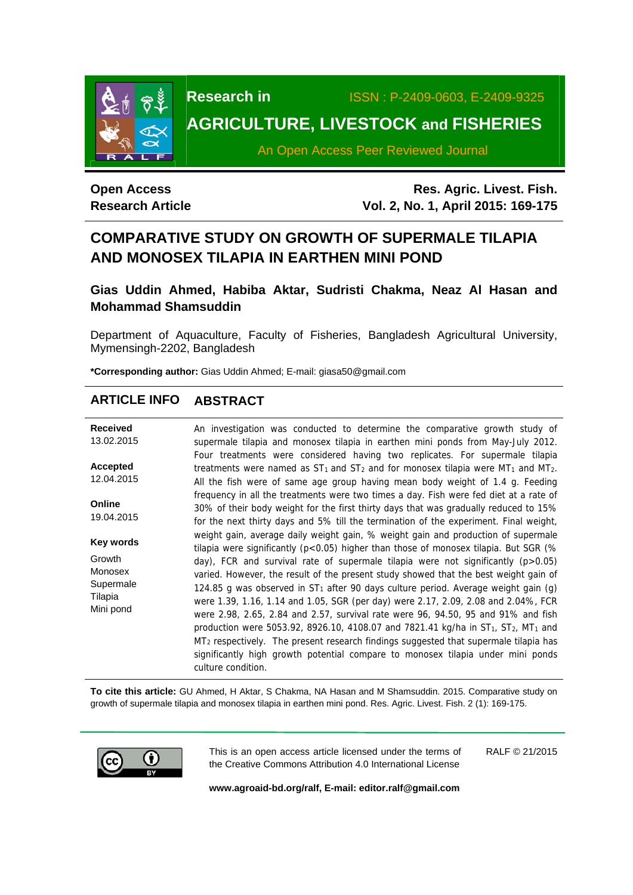

**Research in** ISSN : P-2409-0603, E-2409-9325

# **AGRICULTURE, LIVESTOCK and FISHERIES**

An Open Access Peer Reviewed Journal

## **Open Access Research Article**

**Res. Agric. Livest. Fish. Vol. 2, No. 1, April 2015: 169-175**

# **COMPARATIVE STUDY ON GROWTH OF SUPERMALE TILAPIA AND MONOSEX TILAPIA IN EARTHEN MINI POND**

**Gias Uddin Ahmed, Habiba Aktar, Sudristi Chakma, Neaz Al Hasan and Mohammad Shamsuddin** 

Department of Aquaculture, Faculty of Fisheries, Bangladesh Agricultural University, Mymensingh-2202, Bangladesh

**\*Corresponding author:** Gias Uddin Ahmed; E-mail: giasa50@gmail.com

## **ARTICLE INFO ABSTRACT**

| <b>Received</b>                | An investigation was conducted to determine the comparative growth study of                                                                                                                                                                                                                                                                                                                                                                                                  |
|--------------------------------|------------------------------------------------------------------------------------------------------------------------------------------------------------------------------------------------------------------------------------------------------------------------------------------------------------------------------------------------------------------------------------------------------------------------------------------------------------------------------|
| 13.02.2015                     | supermale tilapia and monosex tilapia in earthen mini ponds from May-July 2012.                                                                                                                                                                                                                                                                                                                                                                                              |
| <b>Accepted</b><br>12.04.2015  | Four treatments were considered having two replicates. For supermale tilapia<br>treatments were named as $ST_1$ and $ST_2$ and for monosex tilapia were MT <sub>1</sub> and MT <sub>2</sub> .<br>All the fish were of same age group having mean body weight of 1.4 g. Feeding                                                                                                                                                                                               |
| Online<br>19.04.2015           | frequency in all the treatments were two times a day. Fish were fed diet at a rate of<br>30% of their body weight for the first thirty days that was gradually reduced to 15%<br>for the next thirty days and 5% till the termination of the experiment. Final weight,                                                                                                                                                                                                       |
| Key words                      | weight gain, average daily weight gain, % weight gain and production of supermale<br>tilapia were significantly ( $p < 0.05$ ) higher than those of monosex tilapia. But SGR (%                                                                                                                                                                                                                                                                                              |
| Growth<br>Monosex<br>Supermale | day), FCR and survival rate of supermale tilapia were not significantly ( $p > 0.05$ )<br>varied. However, the result of the present study showed that the best weight gain of                                                                                                                                                                                                                                                                                               |
| Tilapia<br>Mini pond           | 124.85 g was observed in $ST_1$ after 90 days culture period. Average weight gain (g)<br>were 1.39, 1.16, 1.14 and 1.05, SGR (per day) were 2.17, 2.09, 2.08 and 2.04%, FCR<br>were 2.98, 2.65, 2.84 and 2.57, survival rate were 96, 94.50, 95 and 91% and fish<br>production were 5053.92, 8926.10, 4108.07 and 7821.41 kg/ha in $ST_1$ , $ST_2$ , MT <sub>1</sub> and<br>MT <sub>2</sub> respectively. The present research findings suggested that supermale tilapia has |
|                                | significantly high growth potential compare to monosex tilapia under mini ponds<br>culture condition.                                                                                                                                                                                                                                                                                                                                                                        |

**To cite this article:** GU Ahmed, H Aktar, S Chakma, NA Hasan and M Shamsuddin. 2015. Comparative study on growth of supermale tilapia and monosex tilapia in earthen mini pond. Res. Agric. Livest. Fish. 2 (1): 169-175.



This is an open access article licensed under the terms of the Creative Commons Attribution 4.0 International License RALF © 21/2015

**www.agroaid-bd.org/ralf, E-mail: editor.ralf@gmail.com**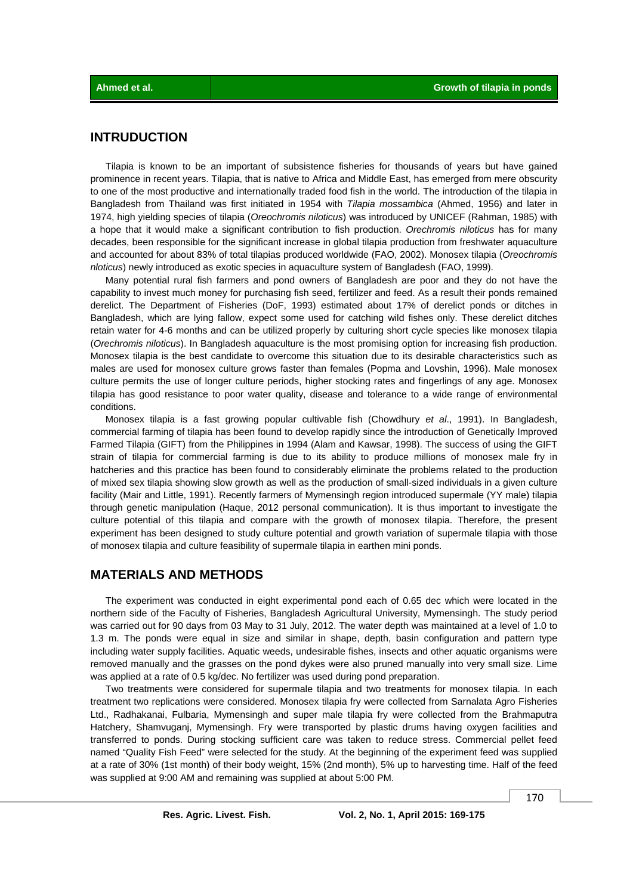#### **INTRUDUCTION**

Tilapia is known to be an important of subsistence fisheries for thousands of years but have gained prominence in recent years. Tilapia, that is native to Africa and Middle East, has emerged from mere obscurity to one of the most productive and internationally traded food fish in the world. The introduction of the tilapia in Bangladesh from Thailand was first initiated in 1954 with *Tilapia mossambica* (Ahmed, 1956) and later in 1974, high yielding species of tilapia (*Oreochromis niloticus*) was introduced by UNICEF (Rahman, 1985) with a hope that it would make a significant contribution to fish production. *Orechromis niloticus* has for many decades, been responsible for the significant increase in global tilapia production from freshwater aquaculture and accounted for about 83% of total tilapias produced worldwide (FAO, 2002). Monosex tilapia (*Oreochromis nloticus*) newly introduced as exotic species in aquaculture system of Bangladesh (FAO, 1999).

Many potential rural fish farmers and pond owners of Bangladesh are poor and they do not have the capability to invest much money for purchasing fish seed, fertilizer and feed. As a result their ponds remained derelict. The Department of Fisheries (DoF, 1993) estimated about 17% of derelict ponds or ditches in Bangladesh, which are lying fallow, expect some used for catching wild fishes only. These derelict ditches retain water for 4-6 months and can be utilized properly by culturing short cycle species like monosex tilapia (*Orechromis niloticus*). In Bangladesh aquaculture is the most promising option for increasing fish production. Monosex tilapia is the best candidate to overcome this situation due to its desirable characteristics such as males are used for monosex culture grows faster than females (Popma and Lovshin, 1996). Male monosex culture permits the use of longer culture periods, higher stocking rates and fingerlings of any age. Monosex tilapia has good resistance to poor water quality, disease and tolerance to a wide range of environmental conditions.

 Monosex tilapia is a fast growing popular cultivable fish (Chowdhury *et al*., 1991). In Bangladesh, commercial farming of tilapia has been found to develop rapidly since the introduction of Genetically Improved Farmed Tilapia (GIFT) from the Philippines in 1994 (Alam and Kawsar, 1998). The success of using the GIFT strain of tilapia for commercial farming is due to its ability to produce millions of monosex male fry in hatcheries and this practice has been found to considerably eliminate the problems related to the production of mixed sex tilapia showing slow growth as well as the production of small-sized individuals in a given culture facility (Mair and Little, 1991). Recently farmers of Mymensingh region introduced supermale (YY male) tilapia through genetic manipulation (Haque, 2012 personal communication). It is thus important to investigate the culture potential of this tilapia and compare with the growth of monosex tilapia. Therefore, the present experiment has been designed to study culture potential and growth variation of supermale tilapia with those of monosex tilapia and culture feasibility of supermale tilapia in earthen mini ponds.

#### **MATERIALS AND METHODS**

The experiment was conducted in eight experimental pond each of 0.65 dec which were located in the northern side of the Faculty of Fisheries, Bangladesh Agricultural University, Mymensingh. The study period was carried out for 90 days from 03 May to 31 July, 2012. The water depth was maintained at a level of 1.0 to 1.3 m. The ponds were equal in size and similar in shape, depth, basin configuration and pattern type including water supply facilities. Aquatic weeds, undesirable fishes, insects and other aquatic organisms were removed manually and the grasses on the pond dykes were also pruned manually into very small size. Lime was applied at a rate of 0.5 kg/dec. No fertilizer was used during pond preparation.

Two treatments were considered for supermale tilapia and two treatments for monosex tilapia. In each treatment two replications were considered. Monosex tilapia fry were collected from Sarnalata Agro Fisheries Ltd., Radhakanai, Fulbaria, Mymensingh and super male tilapia fry were collected from the Brahmaputra Hatchery, Shamvuganj, Mymensingh. Fry were transported by plastic drums having oxygen facilities and transferred to ponds. During stocking sufficient care was taken to reduce stress. Commercial pellet feed named "Quality Fish Feed" were selected for the study. At the beginning of the experiment feed was supplied at a rate of 30% (1st month) of their body weight, 15% (2nd month), 5% up to harvesting time. Half of the feed was supplied at 9:00 AM and remaining was supplied at about 5:00 PM.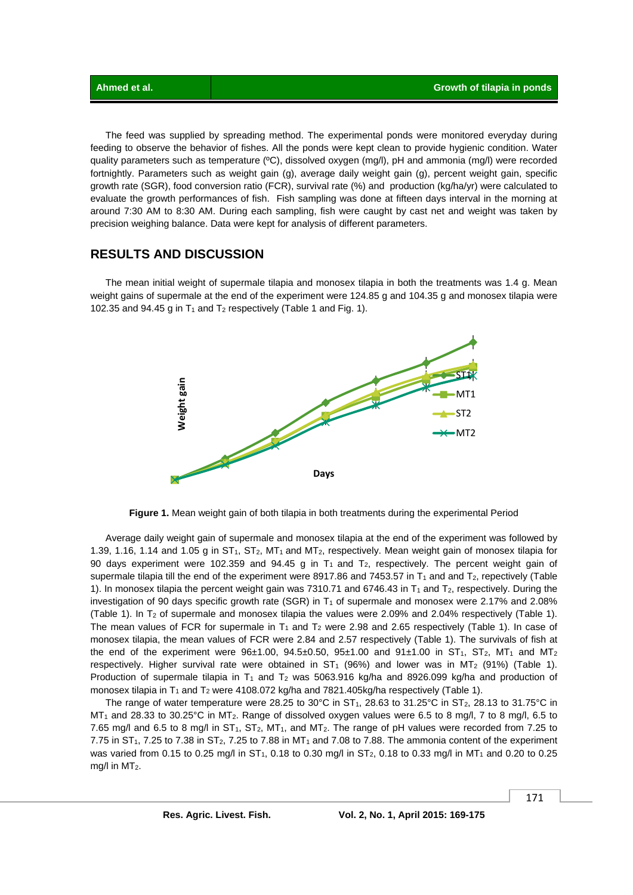The feed was supplied by spreading method. The experimental ponds were monitored everyday during feeding to observe the behavior of fishes. All the ponds were kept clean to provide hygienic condition. Water quality parameters such as temperature (ºC), dissolved oxygen (mg/l), pH and ammonia (mg/l) were recorded fortnightly. Parameters such as weight gain (g), average daily weight gain (g), percent weight gain, specific growth rate (SGR), food conversion ratio (FCR), survival rate (%) and production (kg/ha/yr) were calculated to evaluate the growth performances of fish. Fish sampling was done at fifteen days interval in the morning at around 7:30 AM to 8:30 AM. During each sampling, fish were caught by cast net and weight was taken by precision weighing balance. Data were kept for analysis of different parameters.

#### **RESULTS AND DISCUSSION**

The mean initial weight of supermale tilapia and monosex tilapia in both the treatments was 1.4 g. Mean weight gains of supermale at the end of the experiment were 124.85 g and 104.35 g and monosex tilapia were 102.35 and 94.45 g in  $T_1$  and  $T_2$  respectively (Table 1 and Fig. 1).



**Figure 1.** Mean weight gain of both tilapia in both treatments during the experimental Period

 Average daily weight gain of supermale and monosex tilapia at the end of the experiment was followed by 1.39, 1.16, 1.14 and 1.05 g in ST<sub>1</sub>, ST<sub>2</sub>, MT<sub>1</sub> and MT<sub>2</sub>, respectively. Mean weight gain of monosex tilapia for 90 days experiment were 102.359 and 94.45 g in  $T_1$  and  $T_2$ , respectively. The percent weight gain of supermale tilapia till the end of the experiment were 8917.86 and 7453.57 in  $T_1$  and and  $T_2$ , repectively (Table 1). In monosex tilapia the percent weight gain was 7310.71 and 6746.43 in  $T_1$  and  $T_2$ , respectively. During the investigation of 90 days specific growth rate (SGR) in  $T_1$  of supermale and monosex were 2.17% and 2.08% (Table 1). In T2 of supermale and monosex tilapia the values were 2.09% and 2.04% respectively (Table 1). The mean values of FCR for supermale in  $T_1$  and  $T_2$  were 2.98 and 2.65 respectively (Table 1). In case of monosex tilapia, the mean values of FCR were 2.84 and 2.57 respectively (Table 1). The survivals of fish at the end of the experiment were  $96±1.00$ ,  $94.5±0.50$ ,  $95±1.00$  and  $91±1.00$  in  $ST_1$ ,  $ST_2$ ,  $MT_1$  and  $MT_2$ respectively. Higher survival rate were obtained in  $ST_1$  (96%) and lower was in MT<sub>2</sub> (91%) (Table 1). Production of supermale tilapia in  $T_1$  and  $T_2$  was 5063.916 kg/ha and 8926.099 kg/ha and production of monosex tilapia in T<sub>1</sub> and T<sub>2</sub> were 4108.072 kg/ha and 7821.405kg/ha respectively (Table 1).

The range of water temperature were 28.25 to 30°C in  $ST_1$ , 28.63 to 31.25°C in  $ST_2$ , 28.13 to 31.75°C in MT<sub>1</sub> and 28.33 to 30.25°C in MT<sub>2</sub>. Range of dissolved oxygen values were 6.5 to 8 mg/l, 7 to 8 mg/l, 6.5 to 7.65 mg/l and 6.5 to 8 mg/l in  $ST_1$ ,  $ST_2$ ,  $MT_1$ , and  $MT_2$ . The range of pH values were recorded from 7.25 to 7.75 in  $ST_1$ , 7.25 to 7.38 in  $ST_2$ , 7.25 to 7.88 in MT<sub>1</sub> and 7.08 to 7.88. The ammonia content of the experiment was varied from 0.15 to 0.25 mg/l in ST<sub>1</sub>, 0.18 to 0.30 mg/l in ST<sub>2</sub>, 0.18 to 0.33 mg/l in MT<sub>1</sub> and 0.20 to 0.25 mg/l in  $MT<sub>2</sub>$ .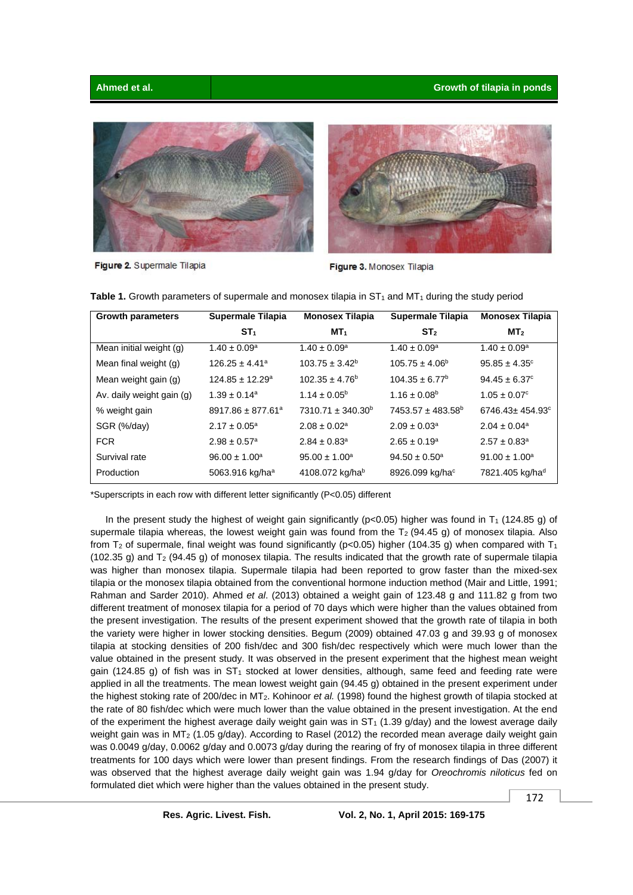#### **Ahmed et al. Growth of tilapia in ponds**



Figure 2. Supermale Tilapia



Figure 3. Monosex Tilapia

| <b>Growth parameters</b>  | <b>Supermale Tilapia</b>          | <b>Monosex Tilapia</b>       | Supermale Tilapia       | <b>Monosex Tilapia</b>            |
|---------------------------|-----------------------------------|------------------------------|-------------------------|-----------------------------------|
|                           | ST <sub>1</sub>                   | MT <sub>1</sub>              | ST <sub>2</sub>         | MT <sub>2</sub>                   |
| Mean initial weight (g)   | $1.40 \pm 0.09^a$                 | $1.40 \pm 0.09^a$            | $1.40 \pm 0.09^a$       | $1.40 \pm 0.09^a$                 |
| Mean final weight (g)     | $126.25 \pm 4.41^a$               | $103.75 \pm 3.42^b$          | $105.75 \pm 4.06^b$     | $95.85 \pm 4.35^{\circ}$          |
| Mean weight gain (g)      | $124.85 \pm 12.29^a$              | $102.35 \pm 4.76^b$          | $104.35 \pm 6.77^b$     | $94.45 \pm 6.37$ <sup>c</sup>     |
| Av. daily weight gain (g) | $1.39 \pm 0.14^a$                 | $1.14 \pm 0.05^{\circ}$      | $1.16 \pm 0.08^{\circ}$ | $1.05 \pm 0.07$ <sup>c</sup>      |
| % weight gain             | $8917.86 \pm 877.61$ <sup>a</sup> | $7310.71 \pm 340.30^b$       | $7453.57 \pm 483.58^b$  | $6746.43 \pm 454.93$ <sup>c</sup> |
| SGR (%/day)               | $2.17 \pm 0.05^a$                 | $2.08 \pm 0.02^a$            | $2.09 \pm 0.03^a$       | $2.04 \pm 0.04$ <sup>a</sup>      |
| <b>FCR</b>                | $2.98 \pm 0.57$ <sup>a</sup>      | $2.84 \pm 0.83$ <sup>a</sup> | $2.65 \pm 0.19^a$       | $2.57 \pm 0.83$ <sup>a</sup>      |
| Survival rate             | $96.00 \pm 1.00^a$                | $95.00 \pm 1.00^a$           | $94.50 \pm 0.50^a$      | $91.00 \pm 1.00^a$                |
| Production                | 5063.916 kg/ha <sup>a</sup>       | 4108.072 kg/hab              | 8926.099 kg/hac         | 7821.405 kg/had                   |

Table 1. Growth parameters of supermale and monosex tilapia in ST<sub>1</sub> and MT<sub>1</sub> during the study period

\*Superscripts in each row with different letter significantly (P<0.05) different

In the present study the highest of weight gain significantly ( $p<0.05$ ) higher was found in T<sub>1</sub> (124.85 g) of supermale tilapia whereas, the lowest weight gain was found from the  $T_2$  (94.45 g) of monosex tilapia. Also from  $T_2$  of supermale, final weight was found significantly (p<0.05) higher (104.35 g) when compared with  $T_1$ (102.35 g) and T2 (94.45 g) of monosex tilapia. The results indicated that the growth rate of supermale tilapia was higher than monosex tilapia. Supermale tilapia had been reported to grow faster than the mixed-sex tilapia or the monosex tilapia obtained from the conventional hormone induction method (Mair and Little, 1991; Rahman and Sarder 2010). Ahmed *et al*. (2013) obtained a weight gain of 123.48 g and 111.82 g from two different treatment of monosex tilapia for a period of 70 days which were higher than the values obtained from the present investigation. The results of the present experiment showed that the growth rate of tilapia in both the variety were higher in lower stocking densities. Begum (2009) obtained 47.03 g and 39.93 g of monosex tilapia at stocking densities of 200 fish/dec and 300 fish/dec respectively which were much lower than the value obtained in the present study. It was observed in the present experiment that the highest mean weight gain (124.85 g) of fish was in  $ST_1$  stocked at lower densities, although, same feed and feeding rate were applied in all the treatments. The mean lowest weight gain (94.45 g) obtained in the present experiment under the highest stoking rate of 200/dec in MT2. Kohinoor *et al.* (1998) found the highest growth of tilapia stocked at the rate of 80 fish/dec which were much lower than the value obtained in the present investigation. At the end of the experiment the highest average daily weight gain was in  $ST_1$  (1.39 g/day) and the lowest average daily weight gain was in MT<sub>2</sub> (1.05 g/day). According to Rasel (2012) the recorded mean average daily weight gain was 0.0049 g/day, 0.0062 g/day and 0.0073 g/day during the rearing of fry of monosex tilapia in three different treatments for 100 days which were lower than present findings. From the research findings of Das (2007) it was observed that the highest average daily weight gain was 1.94 g/day for *Oreochromis niloticus* fed on formulated diet which were higher than the values obtained in the present study.

172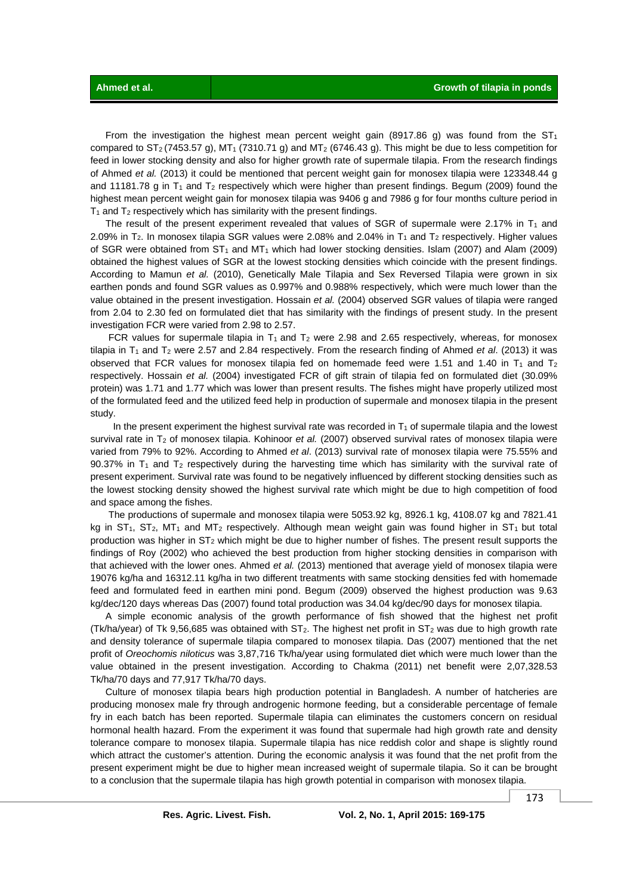From the investigation the highest mean percent weight gain (8917.86 g) was found from the  $ST_1$ compared to  $ST_2$  (7453.57 g), MT<sub>1</sub> (7310.71 g) and MT<sub>2</sub> (6746.43 g). This might be due to less competition for feed in lower stocking density and also for higher growth rate of supermale tilapia. From the research findings of Ahmed *et al.* (2013) it could be mentioned that percent weight gain for monosex tilapia were 123348.44 g and 11181.78 g in  $T_1$  and  $T_2$  respectively which were higher than present findings. Begum (2009) found the highest mean percent weight gain for monosex tilapia was 9406 g and 7986 g for four months culture period in  $T_1$  and  $T_2$  respectively which has similarity with the present findings.

The result of the present experiment revealed that values of SGR of supermale were 2.17% in  $T_1$  and 2.09% in T<sub>2</sub>. In monosex tilapia SGR values were 2.08% and 2.04% in T<sub>1</sub> and T<sub>2</sub> respectively. Higher values of SGR were obtained from  $ST_1$  and  $MT_1$  which had lower stocking densities. Islam (2007) and Alam (2009) obtained the highest values of SGR at the lowest stocking densities which coincide with the present findings. According to Mamun *et al.* (2010), Genetically Male Tilapia and Sex Reversed Tilapia were grown in six earthen ponds and found SGR values as 0.997% and 0.988% respectively, which were much lower than the value obtained in the present investigation. Hossain *et al.* (2004) observed SGR values of tilapia were ranged from 2.04 to 2.30 fed on formulated diet that has similarity with the findings of present study. In the present investigation FCR were varied from 2.98 to 2.57.

FCR values for supermale tilapia in  $T_1$  and  $T_2$  were 2.98 and 2.65 respectively, whereas, for monosex tilapia in  $T_1$  and  $T_2$  were 2.57 and 2.84 respectively. From the research finding of Ahmed *et al.* (2013) it was observed that FCR values for monosex tilapia fed on homemade feed were 1.51 and 1.40 in  $T_1$  and  $T_2$ respectively. Hossain *et al.* (2004) investigated FCR of gift strain of tilapia fed on formulated diet (30.09% protein) was 1.71 and 1.77 which was lower than present results. The fishes might have properly utilized most of the formulated feed and the utilized feed help in production of supermale and monosex tilapia in the present study.

In the present experiment the highest survival rate was recorded in  $T_1$  of supermale tilapia and the lowest survival rate in T<sub>2</sub> of monosex tilapia. Kohinoor *et al.* (2007) observed survival rates of monosex tilapia were varied from 79% to 92%. According to Ahmed *et al*. (2013) survival rate of monosex tilapia were 75.55% and 90.37% in  $T_1$  and  $T_2$  respectively during the harvesting time which has similarity with the survival rate of present experiment. Survival rate was found to be negatively influenced by different stocking densities such as the lowest stocking density showed the highest survival rate which might be due to high competition of food and space among the fishes.

 The productions of supermale and monosex tilapia were 5053.92 kg, 8926.1 kg, 4108.07 kg and 7821.41 kg in  $ST_1$ ,  $ST_2$ , MT<sub>1</sub> and MT<sub>2</sub> respectively. Although mean weight gain was found higher in  $ST_1$  but total production was higher in ST<sub>2</sub> which might be due to higher number of fishes. The present result supports the findings of Roy (2002) who achieved the best production from higher stocking densities in comparison with that achieved with the lower ones. Ahmed *et al.* (2013) mentioned that average yield of monosex tilapia were 19076 kg/ha and 16312.11 kg/ha in two different treatments with same stocking densities fed with homemade feed and formulated feed in earthen mini pond. Begum (2009) observed the highest production was 9.63 kg/dec/120 days whereas Das (2007) found total production was 34.04 kg/dec/90 days for monosex tilapia.

 A simple economic analysis of the growth performance of fish showed that the highest net profit (Tk/ha/year) of Tk 9,56,685 was obtained with  $ST_2$ . The highest net profit in  $ST_2$  was due to high growth rate and density tolerance of supermale tilapia compared to monosex tilapia. Das (2007) mentioned that the net profit of *Oreochomis niloticus* was 3,87,716 Tk/ha/year using formulated diet which were much lower than the value obtained in the present investigation. According to Chakma (2011) net benefit were 2,07,328.53 Tk/ha/70 days and 77,917 Tk/ha/70 days.

 Culture of monosex tilapia bears high production potential in Bangladesh. A number of hatcheries are producing monosex male fry through androgenic hormone feeding, but a considerable percentage of female fry in each batch has been reported. Supermale tilapia can eliminates the customers concern on residual hormonal health hazard. From the experiment it was found that supermale had high growth rate and density tolerance compare to monosex tilapia. Supermale tilapia has nice reddish color and shape is slightly round which attract the customer's attention. During the economic analysis it was found that the net profit from the present experiment might be due to higher mean increased weight of supermale tilapia. So it can be brought to a conclusion that the supermale tilapia has high growth potential in comparison with monosex tilapia.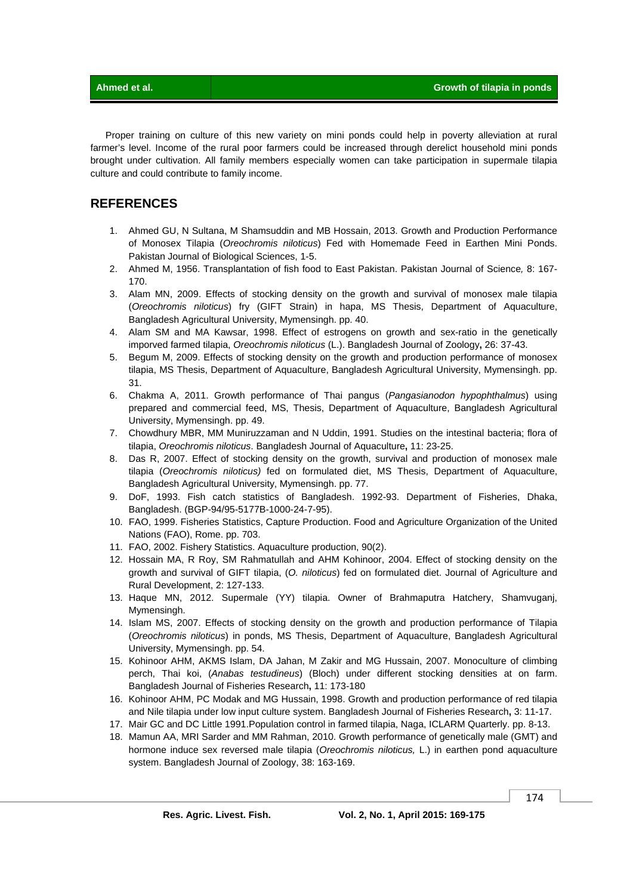Proper training on culture of this new variety on mini ponds could help in poverty alleviation at rural farmer's level. Income of the rural poor farmers could be increased through derelict household mini ponds brought under cultivation. All family members especially women can take participation in supermale tilapia culture and could contribute to family income.

### **REFERENCES**

- 1. Ahmed GU, N Sultana, M Shamsuddin and MB Hossain, 2013. Growth and Production Performance of Monosex Tilapia (*Oreochromis niloticus*) Fed with Homemade Feed in Earthen Mini Ponds. Pakistan Journal of Biological Sciences, 1-5.
- 2. Ahmed M, 1956. Transplantation of fish food to East Pakistan. Pakistan Journal of Science*,* 8: 167- 170.
- 3. Alam MN, 2009. Effects of stocking density on the growth and survival of monosex male tilapia (*Oreochromis niloticus*) fry (GIFT Strain) in hapa, MS Thesis, Department of Aquaculture, Bangladesh Agricultural University, Mymensingh. pp. 40.
- 4. Alam SM and MA Kawsar, 1998. Effect of estrogens on growth and sex-ratio in the genetically imporved farmed tilapia, *Oreochromis niloticus* (L.). Bangladesh Journal of Zoology**,** 26: 37-43.
- 5. Begum M, 2009. Effects of stocking density on the growth and production performance of monosex tilapia, MS Thesis, Department of Aquaculture, Bangladesh Agricultural University, Mymensingh. pp. 31.
- 6. Chakma A, 2011. Growth performance of Thai pangus (*Pangasianodon hypophthalmus*) using prepared and commercial feed, MS, Thesis, Department of Aquaculture, Bangladesh Agricultural University, Mymensingh. pp. 49.
- 7. Chowdhury MBR, MM Muniruzzaman and N Uddin, 1991. Studies on the intestinal bacteria; flora of tilapia, *Oreochromis niloticus*. Bangladesh Journal of Aquaculture**,** 11: 23-25.
- 8. Das R, 2007. Effect of stocking density on the growth, survival and production of monosex male tilapia (*Oreochromis niloticus)* fed on formulated diet, MS Thesis, Department of Aquaculture, Bangladesh Agricultural University, Mymensingh. pp. 77.
- 9. DoF, 1993. Fish catch statistics of Bangladesh. 1992-93. Department of Fisheries, Dhaka, Bangladesh. (BGP-94/95-5177B-1000-24-7-95).
- 10. FAO, 1999. Fisheries Statistics, Capture Production. Food and Agriculture Organization of the United Nations (FAO), Rome. pp. 703.
- 11. FAO, 2002. Fishery Statistics. Aquaculture production, 90(2).
- 12. Hossain MA, R Roy, SM Rahmatullah and AHM Kohinoor, 2004. Effect of stocking density on the growth and survival of GIFT tilapia, (*O. niloticus*) fed on formulated diet. Journal of Agriculture and Rural Development, 2: 127-133.
- 13. Haque MN, 2012. Supermale (YY) tilapia. Owner of Brahmaputra Hatchery, Shamvuganj, Mymensingh.
- 14. Islam MS, 2007. Effects of stocking density on the growth and production performance of Tilapia (*Oreochromis niloticus*) in ponds, MS Thesis, Department of Aquaculture, Bangladesh Agricultural University, Mymensingh. pp. 54.
- 15. Kohinoor AHM, AKMS Islam, DA Jahan, M Zakir and MG Hussain, 2007. Monoculture of climbing perch, Thai koi, (*Anabas testudineus*) (Bloch) under different stocking densities at on farm. Bangladesh Journal of Fisheries Research**,** 11: 173-180
- 16. Kohinoor AHM, PC Modak and MG Hussain, 1998. Growth and production performance of red tilapia and Nile tilapia under low input culture system. Bangladesh Journal of Fisheries Research**,** 3: 11-17.
- 17. Mair GC and DC Little 1991.Population control in farmed tilapia, Naga, ICLARM Quarterly. pp. 8-13.
- 18. Mamun AA, MRI Sarder and MM Rahman, 2010. Growth performance of genetically male (GMT) and hormone induce sex reversed male tilapia (*Oreochromis niloticus,* L.) in earthen pond aquaculture system. Bangladesh Journal of Zoology, 38: 163-169.